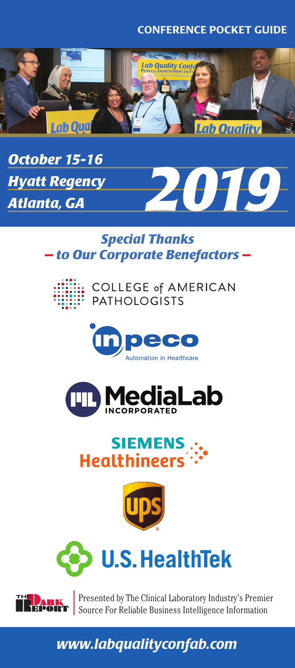### CONFERENCE POCKET GUIDE





## *Special Thanks — to Our Corporate Benefactors —*







# **SIEMENS Healthineers**







Presented by The Clinical Laboratory Industry's Premier Source For Reliable Business Intelligence Information

# *www.labqualityconfab.com*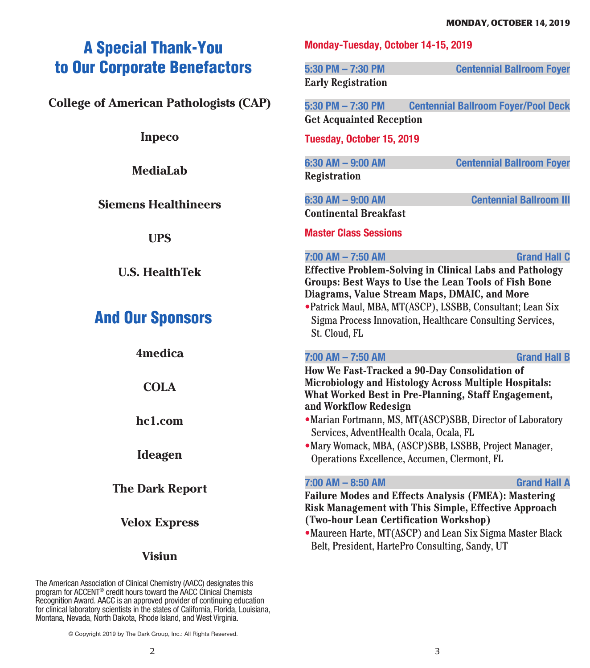# A Special Thank-You to Our Corporate Benefactors

**College of American Pathologists (CAP)** 

**Inpeco**

**MediaLab**

### **Siemens Healthineers**

**UPS**

**U.S. HealthTek**

# And Our Sponsors

**4medica COLA hc1.com Ideagen The Dark Report**

## **Velox Express**

### **Visiun**

The American Association of Clinical Chemistry (AACC) designates this program for ACCENT® credit hours toward the AACC Clinical Chemists Recognition Award. AACC is an approved provider of continuing education for clinical laboratory scientists in the states of California, Florida, Louisiana, Montana, Nevada, North Dakota, Rhode Island, and West Virginia.

**Monday-Tuesday, October 14-15, 2019**

**5:30 PM – 7:30 PM Centennial Ballroom Foyer Early Registration**

**5:30 PM – 7:30 PM Centennial Ballroom Foyer/Pool Deck Get Acquainted Reception**

**Tuesday, October 15, 2019**

**6:30 AM – 9:00 AM Centennial Ballroom Foyer Registration**

**6:30 AM – 9:00 AM Centennial Ballroom III Continental Breakfast**

**Master Class Sessions**

#### **7:00 AM – 7:50 AM Grand Hall C**

**Effective Problem-Solving in Clinical Labs and Pathology Groups: Best Ways to Use the Lean Tools of Fish Bone Diagrams, Value Stream Maps, DMAIC, and More** •Patrick Maul, MBA, MT(ASCP), LSSBB, Consultant; Lean Six Sigma Process Innovation, Healthcare Consulting Services, St. Cloud, FL

#### **7:00 AM – 7:50 AM Grand Hall B**

**How We Fast-Tracked a 90-Day Consolidation of Microbiology and Histology Across Multiple Hospitals: What Worked Best in Pre-Planning, Staff Engagement, and Workflow Redesign**

- •Marian Fortmann, MS, MT(ASCP)SBB, Director of Laboratory Services, AdventHealth Ocala, Ocala, FL
- •Mary Womack, MBA, (ASCP)SBB, LSSBB, Project Manager, Operations Excellence, Accumen, Clermont, FL

#### **7:00 AM – 8:50 AM Grand Hall A**

**Failure Modes and Effects Analysis (FMEA): Mastering Risk Management with This Simple, Effective Approach (Two-hour Lean Certification Workshop)**

•Maureen Harte, MT(ASCP) and Lean Six Sigma Master Black Belt, President, HartePro Consulting, Sandy, UT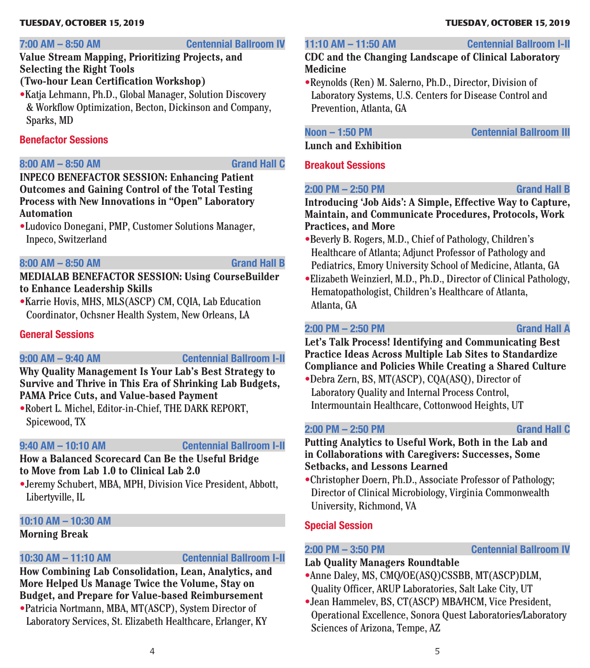#### **TUESDAY, OCTOBER 15, 2019**

#### **7:00 AM – 8:50 AM Centennial Ballroom IV**

### **Value Stream Mapping, Prioritizing Projects, and Selecting the Right Tools**

## **(Two-hour Lean Certification Workshop)**

•Katja Lehmann, Ph.D., Global Manager, Solution Discovery & Workflow Optimization, Becton, Dickinson and Company, Sparks, MD

#### **Benefactor Sessions**

#### **8:00 AM – 8:50 AM Grand Hall C**

**INPECO BENEFACTOR SESSION: Enhancing Patient Outcomes and Gaining Control of the Total Testing Process with New Innovations in "Open" Laboratory Automation**

•Ludovico Donegani, PMP, Customer Solutions Manager, Inpeco, Switzerland

#### **8:00 AM – 8:50 AM Grand Hall B**

**MEDIALAB BENEFACTOR SESSION: Using CourseBuilder to Enhance Leadership Skills**

•Karrie Hovis, MHS, MLS(ASCP) CM, CQIA, Lab Education Coordinator, Ochsner Health System, New Orleans, LA

### **General Sessions**

#### **9:00 AM – 9:40 AM Centennial Ballroom I-II**

**Why Quality Management Is Your Lab's Best Strategy to Survive and Thrive in This Era of Shrinking Lab Budgets, PAMA Price Cuts, and Value-based Payment**

•Robert L. Michel, Editor-in-Chief, THE DARK REPORT, Spicewood, TX

**9:40 AM – 10:10 AM Centennial Ballroom I-II**

**How a Balanced Scorecard Can Be the Useful Bridge to Move from Lab 1.0 to Clinical Lab 2.0**

•Jeremy Schubert, MBA, MPH, Division Vice President, Abbott, Libertyville, IL

## **10:10 AM – 10:30 AM**

### **Morning Break**

### **10:30 AM – 11:10 AM Centennial Ballroom I-II**

**How Combining Lab Consolidation, Lean, Analytics, and More Helped Us Manage Twice the Volume, Stay on Budget, and Prepare for Value-based Reimbursement** •Patricia Nortmann, MBA, MT(ASCP), System Director of

Laboratory Services, St. Elizabeth Healthcare, Erlanger, KY

#### **11:10 AM – 11:50 AM Centennial Ballroom I-II**

### **CDC and the Changing Landscape of Clinical Laboratory Medicine**

•Reynolds (Ren) M. Salerno, Ph.D., Director, Division of Laboratory Systems, U.S. Centers for Disease Control and Prevention, Atlanta, GA

**Noon – 1:50 PM Centennial Ballroom III**

**Lunch and Exhibition**

### **Breakout Sessions**

## **2:00 PM – 2:50 PM Grand Hall B**

**Introducing 'Job Aids': A Simple, Effective Way to Capture, Maintain, and Communicate Procedures, Protocols, Work Practices, and More**

- •Beverly B. Rogers, M.D., Chief of Pathology, Children's Healthcare of Atlanta; Adjunct Professor of Pathology and Pediatrics, Emory University School of Medicine, Atlanta, GA
- •Elizabeth Weinzierl, M.D., Ph.D., Director of Clinical Pathology, Hematopathologist, Children's Healthcare of Atlanta, Atlanta, GA

### **2:00 PM – 2:50 PM Grand Hall A**

**Let's Talk Process! Identifying and Communicating Best Practice Ideas Across Multiple Lab Sites to Standardize Compliance and Policies While Creating a Shared Culture**

•Debra Zern, BS, MT(ASCP), CQA(ASQ), Director of Laboratory Quality and Internal Process Control, Intermountain Healthcare, Cottonwood Heights, UT

### **2:00 PM – 2:50 PM Grand Hall C**

**Putting Analytics to Useful Work, Both in the Lab and in Collaborations with Caregivers: Successes, Some Setbacks, and Lessons Learned**

•Christopher Doern, Ph.D., Associate Professor of Pathology; Director of Clinical Microbiology, Virginia Commonwealth University, Richmond, VA

### **Special Session**

#### **2:00 PM – 3:50 PM Centennial Ballroom IV**

**Lab Quality Managers Roundtable**

- •Anne Daley, MS, CMQ/OE(ASQ)CSSBB, MT(ASCP)DLM, Quality Officer, ARUP Laboratories, Salt Lake City, UT
- •Jean Hammelev, BS, CT(ASCP) MBA/HCM, Vice President, Operational Excellence, Sonora Quest Laboratories/Laboratory Sciences of Arizona, Tempe, AZ

# **TUESDAY, OCTOBER 15, 2019**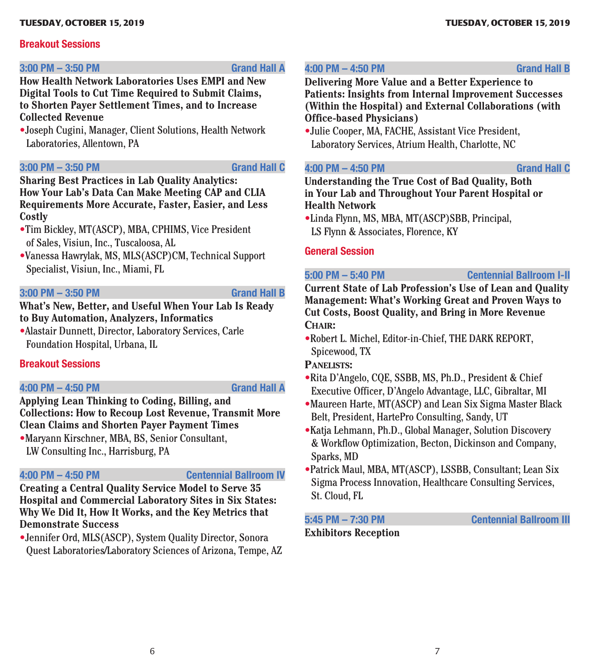#### **TUESDAY, OCTOBER 15, 2019**

### **Breakout Sessions**

#### **3:00 PM – 3:50 PM Grand Hall A**

**How Health Network Laboratories Uses EMPI and New Digital Tools to Cut Time Required to Submit Claims, to Shorten Payer Settlement Times, and to Increase Collected Revenue**

•Joseph Cugini, Manager, Client Solutions, Health Network Laboratories, Allentown, PA

#### **3:00 PM – 3:50 PM Grand Hall C**

**Sharing Best Practices in Lab Quality Analytics: How Your Lab's Data Can Make Meeting CAP and CLIA Requirements More Accurate, Faster, Easier, and Less Costly**

- •Tim Bickley, MT(ASCP), MBA, CPHIMS, Vice President of Sales, Visiun, Inc., Tuscaloosa, AL
- •Vanessa Hawrylak, MS, MLS(ASCP)CM, Technical Support Specialist, Visiun, Inc., Miami, FL

#### **3:00 PM – 3:50 PM Grand Hall B**

**What's New, Better, and Useful When Your Lab Is Ready to Buy Automation, Analyzers, Informatics**

•Alastair Dunnett, Director, Laboratory Services, Carle Foundation Hospital, Urbana, IL

#### **Breakout Sessions**

#### **4:00 PM – 4:50 PM Grand Hall A**

**Applying Lean Thinking to Coding, Billing, and Collections: How to Recoup Lost Revenue, Transmit More Clean Claims and Shorten Payer Payment Times**

•Maryann Kirschner, MBA, BS, Senior Consultant, LW Consulting Inc., Harrisburg, PA

#### **4:00 PM – 4:50 PM Centennial Ballroom IV**

**Creating a Central Quality Service Model to Serve 35 Hospital and Commercial Laboratory Sites in Six States: Why We Did It, How It Works, and the Key Metrics that Demonstrate Success**

•Jennifer Ord, MLS(ASCP), System Quality Director, Sonora Quest Laboratories/Laboratory Sciences of Arizona, Tempe, AZ

#### **4:00 PM – 4:50 PM Grand Hall B**

**Delivering More Value and a Better Experience to Patients: Insights from Internal Improvement Successes (Within the Hospital) and External Collaborations (with Office-based Physicians)**

•Julie Cooper, MA, FACHE, Assistant Vice President, Laboratory Services, Atrium Health, Charlotte, NC

#### **4:00 PM – 4:50 PM Grand Hall C**

**Understanding the True Cost of Bad Quality, Both in Your Lab and Throughout Your Parent Hospital or Health Network**

•Linda Flynn, MS, MBA, MT(ASCP)SBB, Principal, LS Flynn & Associates, Florence, KY

#### **General Session**

**5:00 PM – 5:40 PM Centennial Ballroom I-II**

**Current State of Lab Profession's Use of Lean and Quality Management: What's Working Great and Proven Ways to Cut Costs, Boost Quality, and Bring in More Revenue Chair:**

•Robert L. Michel, Editor-in-Chief, THE DARK REPORT, Spicewood, TX

### **Panelists:**

- •Rita D'Angelo, CQE, SSBB, MS, Ph.D., President & Chief Executive Officer, D'Angelo Advantage, LLC, Gibraltar, MI
- •Maureen Harte, MT(ASCP) and Lean Six Sigma Master Black Belt, President, HartePro Consulting, Sandy, UT
- •Katja Lehmann, Ph.D., Global Manager, Solution Discovery & Workflow Optimization, Becton, Dickinson and Company, Sparks, MD
- •Patrick Maul, MBA, MT(ASCP), LSSBB, Consultant; Lean Six Sigma Process Innovation, Healthcare Consulting Services, St. Cloud, FL

### **Exhibitors Reception**

**5:45 PM – 7:30 PM Centennial Ballroom III**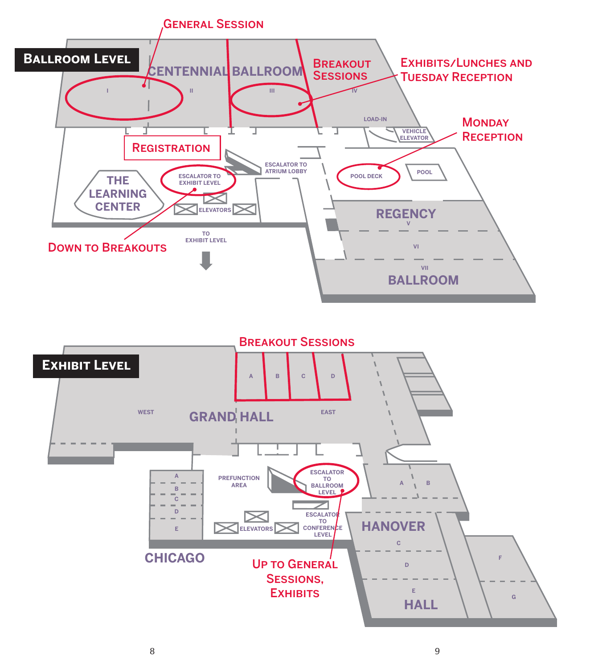

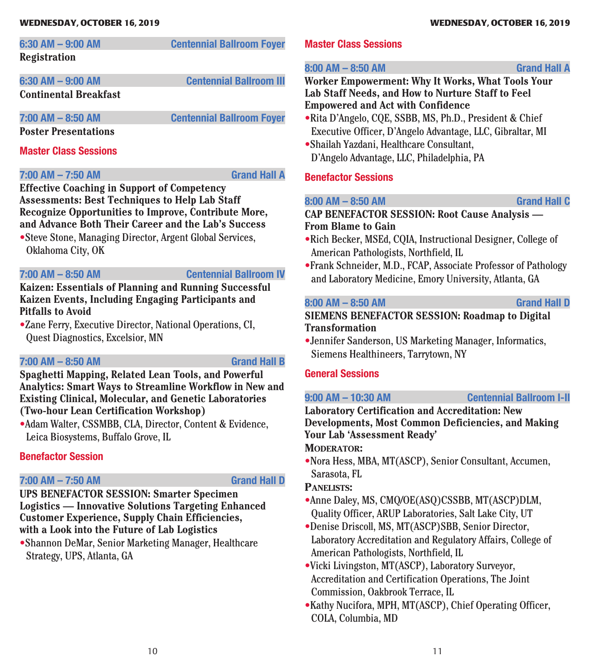#### **WEDNESDAY, OCTOBER 16, 2019**

| 6:30 AM - 9:00 AM     | <b>Centennial Ballroom Foyer</b> |
|-----------------------|----------------------------------|
| Registration          |                                  |
| 6:30 AM - 9:00 AM     | <b>Centennial Ballroom III</b>   |
| Continental Breakfast |                                  |
| 7:00 AM - 8:50 AM     | <b>Centennial Ballroom Foyer</b> |

**Poster Presentations**

#### **Master Class Sessions**

#### **7:00 AM – 7:50 AM Grand Hall A**

**Effective Coaching in Support of Competency Assessments: Best Techniques to Help Lab Staff Recognize Opportunities to Improve, Contribute More, and Advance Both Their Career and the Lab's Success**

•Steve Stone, Managing Director, Argent Global Services, Oklahoma City, OK

### **7:00 AM – 8:50 AM Centennial Ballroom IV**

**Kaizen: Essentials of Planning and Running Successful Kaizen Events, Including Engaging Participants and Pitfalls to Avoid**

•Zane Ferry, Executive Director, National Operations, CI, Quest Diagnostics, Excelsior, MN

#### **7:00 AM – 8:50 AM Grand Hall B**

**Spaghetti Mapping, Related Lean Tools, and Powerful Analytics: Smart Ways to Streamline Workflow in New and Existing Clinical, Molecular, and Genetic Laboratories (Two-hour Lean Certification Workshop)**

•Adam Walter, CSSMBB, CLA, Director, Content & Evidence, Leica Biosystems, Buffalo Grove, IL

### **Benefactor Session**

#### **7:00 AM – 7:50 AM Grand Hall D**

**UPS BENEFACTOR SESSION: Smarter Specimen Logistics — Innovative Solutions Targeting Enhanced Customer Experience, Supply Chain Efficiencies, with a Look into the Future of Lab Logistics**

•Shannon DeMar, Senior Marketing Manager, Healthcare Strategy, UPS, Atlanta, GA

#### **Master Class Sessions**

**8:00 AM – 8:50 AM Grand Hall A**

#### **Worker Empowerment: Why It Works, What Tools Your Lab Staff Needs, and How to Nurture Staff to Feel Empowered and Act with Confidence**

- •Rita D'Angelo, CQE, SSBB, MS, Ph.D., President & Chief Executive Officer, D'Angelo Advantage, LLC, Gibraltar, MI
- •Shailah Yazdani, Healthcare Consultant, D'Angelo Advantage, LLC, Philadelphia, PA

### **Benefactor Sessions**

#### **8:00 AM – 8:50 AM Grand Hall C**

### **CAP BENEFACTOR SESSION: Root Cause Analysis — From Blame to Gain**

- •Rich Becker, MSEd, CQIA, Instructional Designer, College of American Pathologists, Northfield, IL
- •Frank Schneider, M.D., FCAP, Associate Professor of Pathology and Laboratory Medicine, Emory University, Atlanta, GA

#### **8:00 AM – 8:50 AM Grand Hall D**

### **SIEMENS BENEFACTOR SESSION: Roadmap to Digital Transformation**

•Jennifer Sanderson, US Marketing Manager, Informatics, Siemens Healthineers, Tarrytown, NY

### **General Sessions**

**9:00 AM – 10:30 AM Centennial Ballroom I-II**

**Laboratory Certification and Accreditation: New Developments, Most Common Deficiencies, and Making Your Lab 'Assessment Ready'** MODERATOR:

•Nora Hess, MBA, MT(ASCP), Senior Consultant, Accumen, Sarasota, FL

### **Panelists:**

- •Anne Daley, MS, CMQ/OE(ASQ)CSSBB, MT(ASCP)DLM, Quality Officer, ARUP Laboratories, Salt Lake City, UT
- •Denise Driscoll, MS, MT(ASCP)SBB, Senior Director, Laboratory Accreditation and Regulatory Affairs, College of American Pathologists, Northfield, IL
- •Vicki Livingston, MT(ASCP), Laboratory Surveyor, Accreditation and Certification Operations, The Joint Commission, Oakbrook Terrace, IL
- •Kathy Nucifora, MPH, MT(ASCP), Chief Operating Officer, COLA, Columbia, MD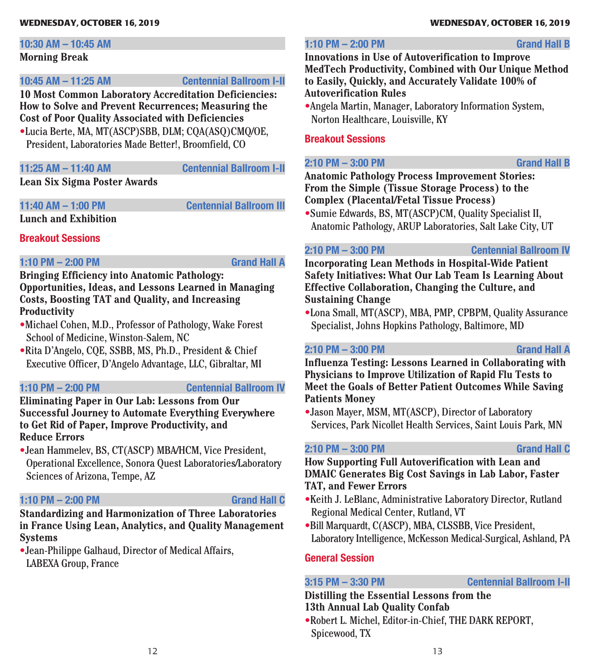#### **WEDNESDAY, OCTOBER 16, 2019**

#### **10:30 AM – 10:45 AM**

#### **Morning Break**

**10:45 AM – 11:25 AM Centennial Ballroom I-II**

**10 Most Common Laboratory Accreditation Deficiencies: How to Solve and Prevent Recurrences; Measuring the Cost of Poor Quality Associated with Deficiencies**

•Lucia Berte, MA, MT(ASCP)SBB, DLM; CQA(ASQ)CMQ/OE, President, Laboratories Made Better!, Broomfield, CO

#### **11:25 AM – 11:40 AM Centennial Ballroom I-II**

**Lean Six Sigma Poster Awards**

**11:40 AM – 1:00 PM Centennial Ballroom III** 

**Lunch and Exhibition**

**Breakout Sessions**

#### **1:10 PM – 2:00 PM Grand Hall A**

**Bringing Efficiency into Anatomic Pathology: Opportunities, Ideas, and Lessons Learned in Managing Costs, Boosting TAT and Quality, and Increasing Productivity**

- •Michael Cohen, M.D., Professor of Pathology, Wake Forest School of Medicine, Winston-Salem, NC
- •Rita D'Angelo, CQE, SSBB, MS, Ph.D., President & Chief Executive Officer, D'Angelo Advantage, LLC, Gibraltar, MI

#### **1:10 PM – 2:00 PM Centennial Ballroom IV**

**Eliminating Paper in Our Lab: Lessons from Our Successful Journey to Automate Everything Everywhere to Get Rid of Paper, Improve Productivity, and Reduce Errors**

•Jean Hammelev, BS, CT(ASCP) MBA/HCM, Vice President, Operational Excellence, Sonora Quest Laboratories/Laboratory Sciences of Arizona, Tempe, AZ

#### **1:10 PM – 2:00 PM Grand Hall C**

## **Standardizing and Harmonization of Three Laboratories in France Using Lean, Analytics, and Quality Management**

**Systems** •Jean-Philippe Galhaud, Director of Medical Affairs, LABEXA Group, France

#### **WEDNESDAY, OCTOBER 16, 2019**

### **1:10 PM – 2:00 PM Grand Hall B**

**Innovations in Use of Autoverification to Improve MedTech Productivity, Combined with Our Unique Method to Easily, Quickly, and Accurately Validate 100% of Autoverification Rules**

•Angela Martin, Manager, Laboratory Information System, Norton Healthcare, Louisville, KY

#### **Breakout Sessions**

**2:10 PM – 3:00 PM Grand Hall B**

**Anatomic Pathology Process Improvement Stories: From the Simple (Tissue Storage Process) to the Complex (Placental/Fetal Tissue Process)**

•Sumie Edwards, BS, MT(ASCP)CM, Quality Specialist II, Anatomic Pathology, ARUP Laboratories, Salt Lake City, UT

**2:10 PM – 3:00 PM Centennial Ballroom IV**

**Incorporating Lean Methods in Hospital-Wide Patient Safety Initiatives: What Our Lab Team Is Learning About Effective Collaboration, Changing the Culture, and Sustaining Change**

•Lona Small, MT(ASCP), MBA, PMP, CPBPM, Quality Assurance Specialist, Johns Hopkins Pathology, Baltimore, MD

### **2:10 PM – 3:00 PM Grand Hall A**

**Influenza Testing: Lessons Learned in Collaborating with Physicians to Improve Utilization of Rapid Flu Tests to Meet the Goals of Better Patient Outcomes While Saving Patients Money**

•Jason Mayer, MSM, MT(ASCP), Director of Laboratory Services, Park Nicollet Health Services, Saint Louis Park, MN

### **2:10 PM – 3:00 PM Grand Hall C**

#### **How Supporting Full Autoverification with Lean and DMAIC Generates Big Cost Savings in Lab Labor, Faster TAT, and Fewer Errors**

- •Keith J. LeBlanc, Administrative Laboratory Director, Rutland Regional Medical Center, Rutland, VT
- •Bill Marquardt, C(ASCP), MBA, CLSSBB, Vice President, Laboratory Intelligence, McKesson Medical-Surgical, Ashland, PA

### **General Session**

### **3:15 PM – 3:30 PM Centennial Ballroom I-II**

**Distilling the Essential Lessons from the 13th Annual Lab Quality Confab**

•Robert L. Michel, Editor-in-Chief, THE DARK REPORT, Spicewood, TX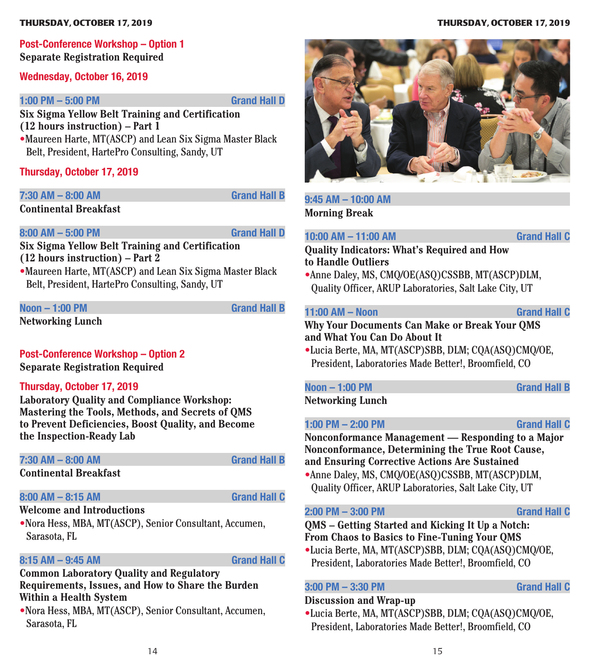### **Post-Conference Workshop – Option 1 Separate Registration Required**

#### **Wednesday, October 16, 2019**

#### **1:00 PM – 5:00 PM Grand Hall D**

**Six Sigma Yellow Belt Training and Certification (12 hours instruction) – Part 1**

•Maureen Harte, MT(ASCP) and Lean Six Sigma Master Black Belt, President, HartePro Consulting, Sandy, UT

**Thursday, October 17, 2019**

**7:30 AM – 8:00 AM Grand Hall B**

**Continental Breakfast**

#### **8:00 AM – 5:00 PM Grand Hall D**

**Six Sigma Yellow Belt Training and Certification (12 hours instruction) – Part 2**

•Maureen Harte, MT(ASCP) and Lean Six Sigma Master Black Belt, President, HartePro Consulting, Sandy, UT

#### **Noon – 1:00 PM Grand Hall B**

**Networking Lunch**

## **Post-Conference Workshop – Option 2**

**Separate Registration Required**

#### **Thursday, October 17, 2019**

**Laboratory Quality and Compliance Workshop: Mastering the Tools, Methods, and Secrets of QMS to Prevent Deficiencies, Boost Quality, and Become the Inspection-Ready Lab**

### **7:30 AM – 8:00 AM Grand Hall B**

**Continental Breakfast**

### **8:00 AM – 8:15 AM Grand Hall C**

#### **Welcome and Introductions**

•Nora Hess, MBA, MT(ASCP), Senior Consultant, Accumen, Sarasota, FL

### **8:15 AM – 9:45 AM Grand Hall C**

#### **Common Laboratory Quality and Regulatory Requirements, Issues, and How to Share the Burden Within a Health System**

•Nora Hess, MBA, MT(ASCP), Senior Consultant, Accumen, Sarasota, FL

#### **THURSDAY, OCTOBER 17, 2019 THURSDAY, OCTOBER 17, 2019**



## **9:45 AM – 10:00 AM**

**Morning Break**

### **10:00 AM – 11:00 AM Grand Hall C**

### **Quality Indicators: What's Required and How to Handle Outliers**

•Anne Daley, MS, CMQ/OE(ASQ)CSSBB, MT(ASCP)DLM, Quality Officer, ARUP Laboratories, Salt Lake City, UT

#### **11:00 AM – Noon Grand Hall C**

**Why Your Documents Can Make or Break Your QMS and What You Can Do About It**

•Lucia Berte, MA, MT(ASCP)SBB, DLM; CQA(ASQ)CMQ/OE, President, Laboratories Made Better!, Broomfield, CO

## **Noon – 1:00 PM Grand Hall B**

**Networking Lunch**

**1:00 PM – 2:00 PM Grand Hall C**

**Nonconformance Management — Responding to a Major Nonconformance, Determining the True Root Cause, and Ensuring Corrective Actions Are Sustained** •Anne Daley, MS, CMQ/OE(ASQ)CSSBB, MT(ASCP)DLM, Quality Officer, ARUP Laboratories, Salt Lake City, UT

#### **2:00 PM – 3:00 PM Grand Hall C**

**QMS – Getting Started and Kicking It Up a Notch: From Chaos to Basics to Fine-Tuning Your QMS**

•Lucia Berte, MA, MT(ASCP)SBB, DLM; CQA(ASQ)CMQ/OE, President, Laboratories Made Better!, Broomfield, CO

#### **3:00 PM – 3:30 PM Grand Hall C**

#### **Discussion and Wrap-up**

•Lucia Berte, MA, MT(ASCP)SBB, DLM; CQA(ASQ)CMQ/OE, President, Laboratories Made Better!, Broomfield, CO